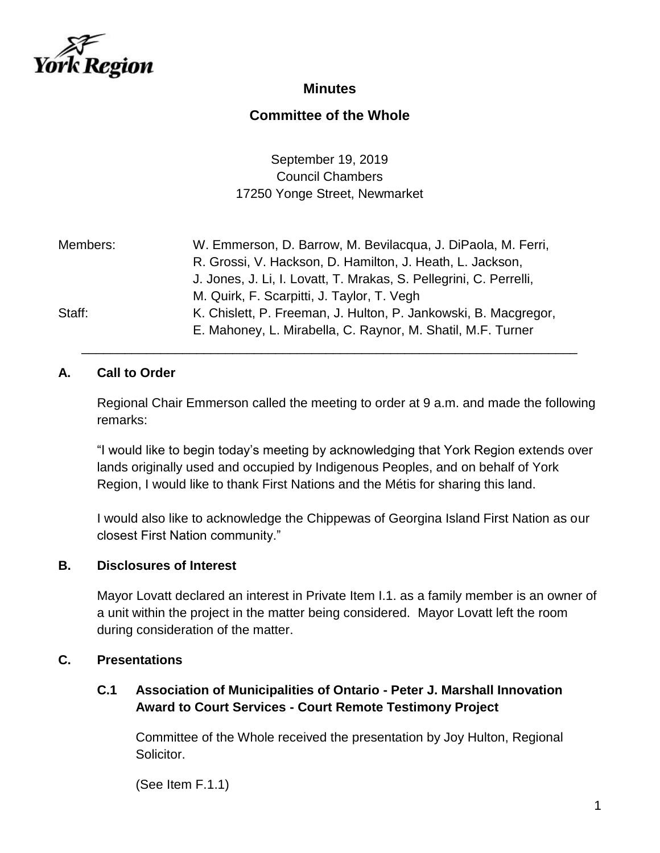

## **Minutes**

# **Committee of the Whole**

September 19, 2019 Council Chambers 17250 Yonge Street, Newmarket

| Members: | W. Emmerson, D. Barrow, M. Bevilacqua, J. DiPaola, M. Ferri,       |
|----------|--------------------------------------------------------------------|
|          | R. Grossi, V. Hackson, D. Hamilton, J. Heath, L. Jackson,          |
|          | J. Jones, J. Li, I. Lovatt, T. Mrakas, S. Pellegrini, C. Perrelli, |
|          | M. Quirk, F. Scarpitti, J. Taylor, T. Vegh                         |
| Staff:   | K. Chislett, P. Freeman, J. Hulton, P. Jankowski, B. Macgregor,    |
|          | E. Mahoney, L. Mirabella, C. Raynor, M. Shatil, M.F. Turner        |

### **A. Call to Order**

Regional Chair Emmerson called the meeting to order at 9 a.m. and made the following remarks:

\_\_\_\_\_\_\_\_\_\_\_\_\_\_\_\_\_\_\_\_\_\_\_\_\_\_\_\_\_\_\_\_\_\_\_\_\_\_\_\_\_\_\_\_\_\_\_\_\_\_\_\_\_\_\_\_\_\_\_\_\_\_\_\_\_\_\_\_\_

"I would like to begin today's meeting by acknowledging that York Region extends over lands originally used and occupied by Indigenous Peoples, and on behalf of York Region, I would like to thank First Nations and the Métis for sharing this land.

I would also like to acknowledge the Chippewas of Georgina Island First Nation as our closest First Nation community."

#### **B. Disclosures of Interest**

Mayor Lovatt declared an interest in Private Item I.1. as a family member is an owner of a unit within the project in the matter being considered. Mayor Lovatt left the room during consideration of the matter.

## **C. Presentations**

### **C.1 Association of Municipalities of Ontario - Peter J. Marshall Innovation Award to Court Services - Court Remote Testimony Project**

Committee of the Whole received the presentation by Joy Hulton, Regional Solicitor.

(See Item F.1.1)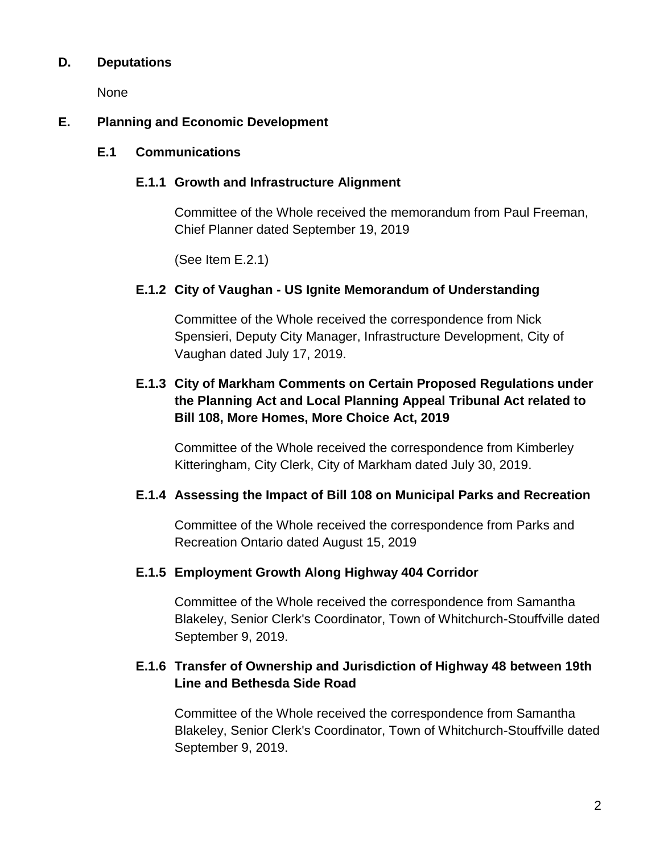#### **D. Deputations**

None

#### **E. Planning and Economic Development**

#### **E.1 Communications**

#### **E.1.1 Growth and Infrastructure Alignment**

Committee of the Whole received the memorandum from Paul Freeman, Chief Planner dated September 19, 2019

(See Item E.2.1)

#### **E.1.2 City of Vaughan - US Ignite Memorandum of Understanding**

Committee of the Whole received the correspondence from Nick Spensieri, Deputy City Manager, Infrastructure Development, City of Vaughan dated July 17, 2019.

## **E.1.3 City of Markham Comments on Certain Proposed Regulations under the Planning Act and Local Planning Appeal Tribunal Act related to Bill 108, More Homes, More Choice Act, 2019**

Committee of the Whole received the correspondence from Kimberley Kitteringham, City Clerk, City of Markham dated July 30, 2019.

#### **E.1.4 Assessing the Impact of Bill 108 on Municipal Parks and Recreation**

Committee of the Whole received the correspondence from Parks and Recreation Ontario dated August 15, 2019

#### **E.1.5 Employment Growth Along Highway 404 Corridor**

Committee of the Whole received the correspondence from Samantha Blakeley, Senior Clerk's Coordinator, Town of Whitchurch-Stouffville dated September 9, 2019.

### **E.1.6 Transfer of Ownership and Jurisdiction of Highway 48 between 19th Line and Bethesda Side Road**

Committee of the Whole received the correspondence from Samantha Blakeley, Senior Clerk's Coordinator, Town of Whitchurch-Stouffville dated September 9, 2019.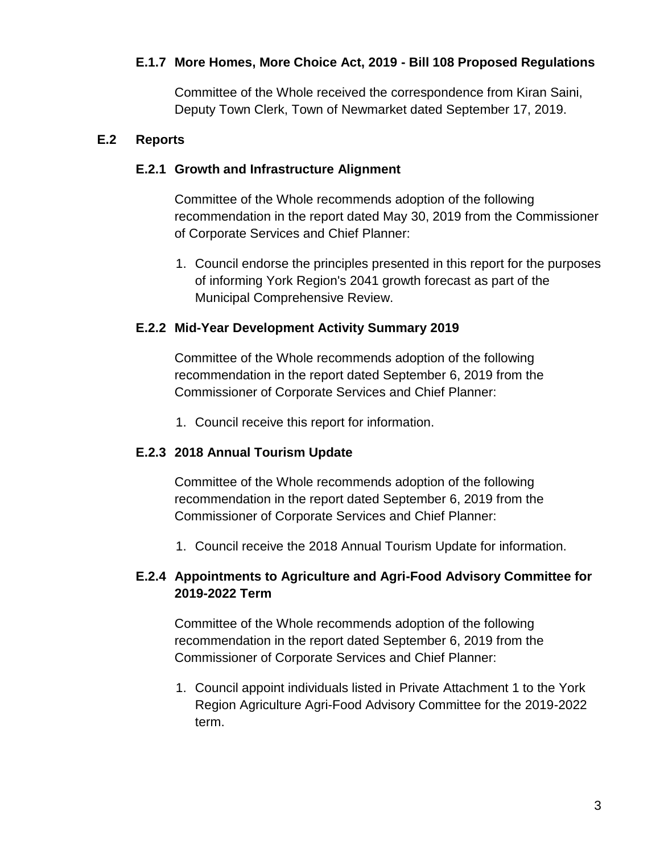### **E.1.7 More Homes, More Choice Act, 2019 - Bill 108 Proposed Regulations**

Committee of the Whole received the correspondence from Kiran Saini, Deputy Town Clerk, Town of Newmarket dated September 17, 2019.

#### **E.2 Reports**

#### **E.2.1 Growth and Infrastructure Alignment**

Committee of the Whole recommends adoption of the following recommendation in the report dated May 30, 2019 from the Commissioner of Corporate Services and Chief Planner:

1. Council endorse the principles presented in this report for the purposes of informing York Region's 2041 growth forecast as part of the Municipal Comprehensive Review.

#### **E.2.2 Mid-Year Development Activity Summary 2019**

Committee of the Whole recommends adoption of the following recommendation in the report dated September 6, 2019 from the Commissioner of Corporate Services and Chief Planner:

1. Council receive this report for information.

### **E.2.3 2018 Annual Tourism Update**

Committee of the Whole recommends adoption of the following recommendation in the report dated September 6, 2019 from the Commissioner of Corporate Services and Chief Planner:

1. Council receive the 2018 Annual Tourism Update for information.

### **E.2.4 Appointments to Agriculture and Agri-Food Advisory Committee for 2019-2022 Term**

Committee of the Whole recommends adoption of the following recommendation in the report dated September 6, 2019 from the Commissioner of Corporate Services and Chief Planner:

1. Council appoint individuals listed in Private Attachment 1 to the York Region Agriculture Agri-Food Advisory Committee for the 2019-2022 term.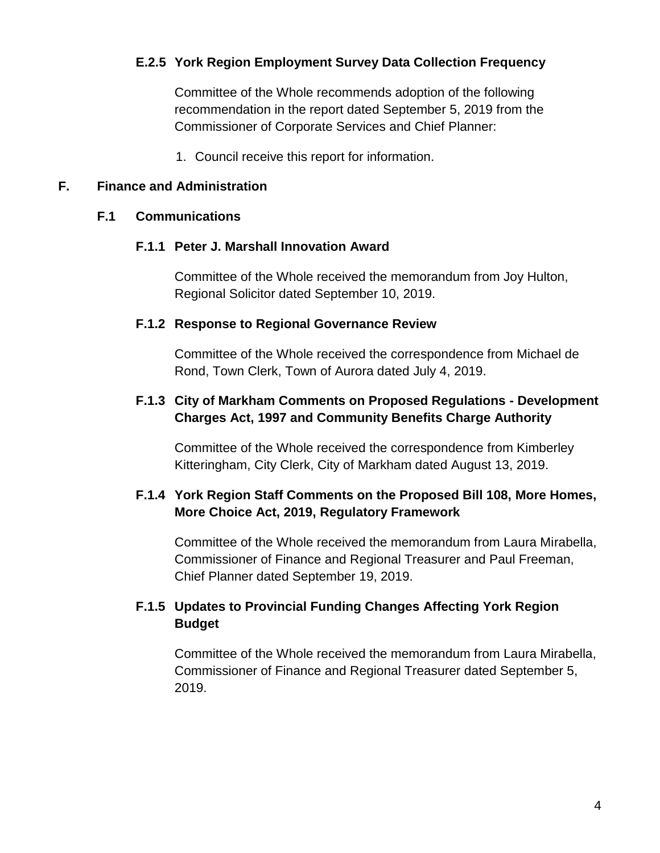#### **E.2.5 York Region Employment Survey Data Collection Frequency**

Committee of the Whole recommends adoption of the following recommendation in the report dated September 5, 2019 from the Commissioner of Corporate Services and Chief Planner:

1. Council receive this report for information.

#### **F. Finance and Administration**

#### **F.1 Communications**

#### **F.1.1 Peter J. Marshall Innovation Award**

Committee of the Whole received the memorandum from Joy Hulton, Regional Solicitor dated September 10, 2019.

#### **F.1.2 Response to Regional Governance Review**

Committee of the Whole received the correspondence from Michael de Rond, Town Clerk, Town of Aurora dated July 4, 2019.

#### **F.1.3 City of Markham Comments on Proposed Regulations - Development Charges Act, 1997 and Community Benefits Charge Authority**

Committee of the Whole received the correspondence from Kimberley Kitteringham, City Clerk, City of Markham dated August 13, 2019.

### **F.1.4 York Region Staff Comments on the Proposed Bill 108, More Homes, More Choice Act, 2019, Regulatory Framework**

Committee of the Whole received the memorandum from Laura Mirabella, Commissioner of Finance and Regional Treasurer and Paul Freeman, Chief Planner dated September 19, 2019.

### **F.1.5 Updates to Provincial Funding Changes Affecting York Region Budget**

Committee of the Whole received the memorandum from Laura Mirabella, Commissioner of Finance and Regional Treasurer dated September 5, 2019.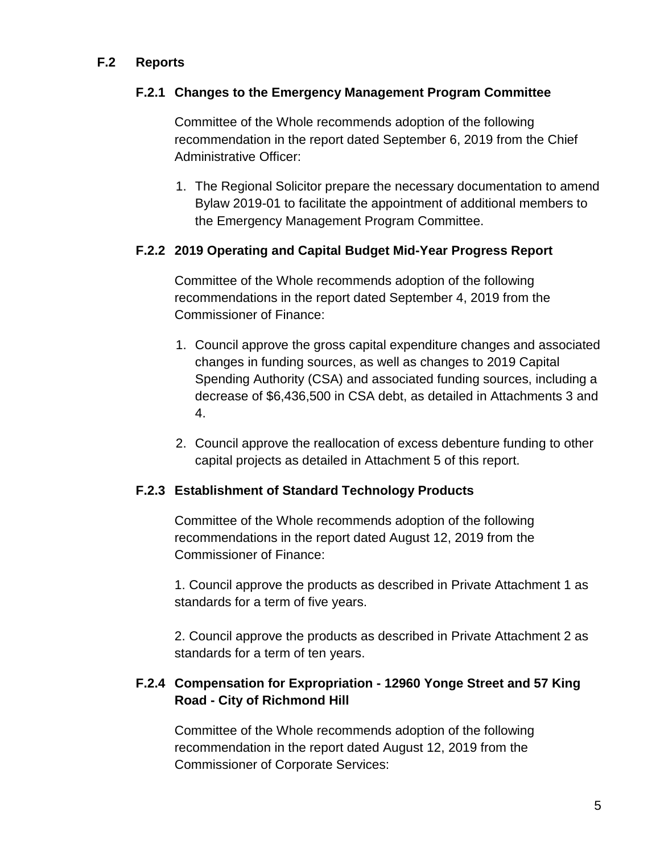### **F.2 Reports**

#### **F.2.1 Changes to the Emergency Management Program Committee**

Committee of the Whole recommends adoption of the following recommendation in the report dated September 6, 2019 from the Chief Administrative Officer:

1. The Regional Solicitor prepare the necessary documentation to amend Bylaw 2019-01 to facilitate the appointment of additional members to the Emergency Management Program Committee.

#### **F.2.2 2019 Operating and Capital Budget Mid-Year Progress Report**

Committee of the Whole recommends adoption of the following recommendations in the report dated September 4, 2019 from the Commissioner of Finance:

- 1. Council approve the gross capital expenditure changes and associated changes in funding sources, as well as changes to 2019 Capital Spending Authority (CSA) and associated funding sources, including a decrease of \$6,436,500 in CSA debt, as detailed in Attachments 3 and 4.
- 2. Council approve the reallocation of excess debenture funding to other capital projects as detailed in Attachment 5 of this report.

#### **F.2.3 Establishment of Standard Technology Products**

Committee of the Whole recommends adoption of the following recommendations in the report dated August 12, 2019 from the Commissioner of Finance:

1. Council approve the products as described in Private Attachment 1 as standards for a term of five years.

2. Council approve the products as described in Private Attachment 2 as standards for a term of ten years.

### **F.2.4 Compensation for Expropriation - 12960 Yonge Street and 57 King Road - City of Richmond Hill**

Committee of the Whole recommends adoption of the following recommendation in the report dated August 12, 2019 from the Commissioner of Corporate Services: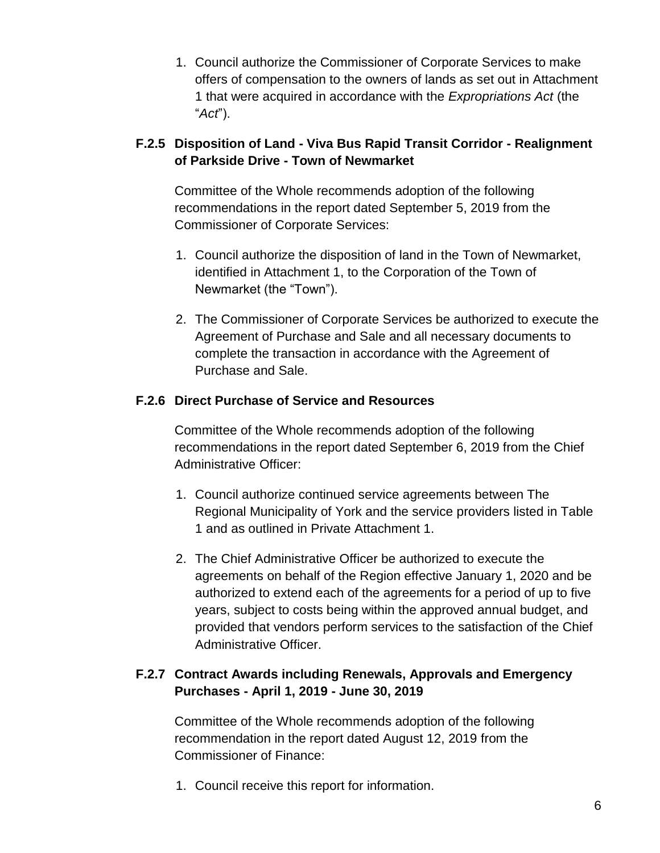1. Council authorize the Commissioner of Corporate Services to make offers of compensation to the owners of lands as set out in Attachment 1 that were acquired in accordance with the *Expropriations Act* (the "*Act*").

# **F.2.5 Disposition of Land - Viva Bus Rapid Transit Corridor - Realignment of Parkside Drive - Town of Newmarket**

Committee of the Whole recommends adoption of the following recommendations in the report dated September 5, 2019 from the Commissioner of Corporate Services:

- 1. Council authorize the disposition of land in the Town of Newmarket, identified in Attachment 1, to the Corporation of the Town of Newmarket (the "Town").
- 2. The Commissioner of Corporate Services be authorized to execute the Agreement of Purchase and Sale and all necessary documents to complete the transaction in accordance with the Agreement of Purchase and Sale.

# **F.2.6 Direct Purchase of Service and Resources**

Committee of the Whole recommends adoption of the following recommendations in the report dated September 6, 2019 from the Chief Administrative Officer:

- 1. Council authorize continued service agreements between The Regional Municipality of York and the service providers listed in Table 1 and as outlined in Private Attachment 1.
- 2. The Chief Administrative Officer be authorized to execute the agreements on behalf of the Region effective January 1, 2020 and be authorized to extend each of the agreements for a period of up to five years, subject to costs being within the approved annual budget, and provided that vendors perform services to the satisfaction of the Chief Administrative Officer.

# **F.2.7 Contract Awards including Renewals, Approvals and Emergency Purchases - April 1, 2019 - June 30, 2019**

Committee of the Whole recommends adoption of the following recommendation in the report dated August 12, 2019 from the Commissioner of Finance:

1. Council receive this report for information.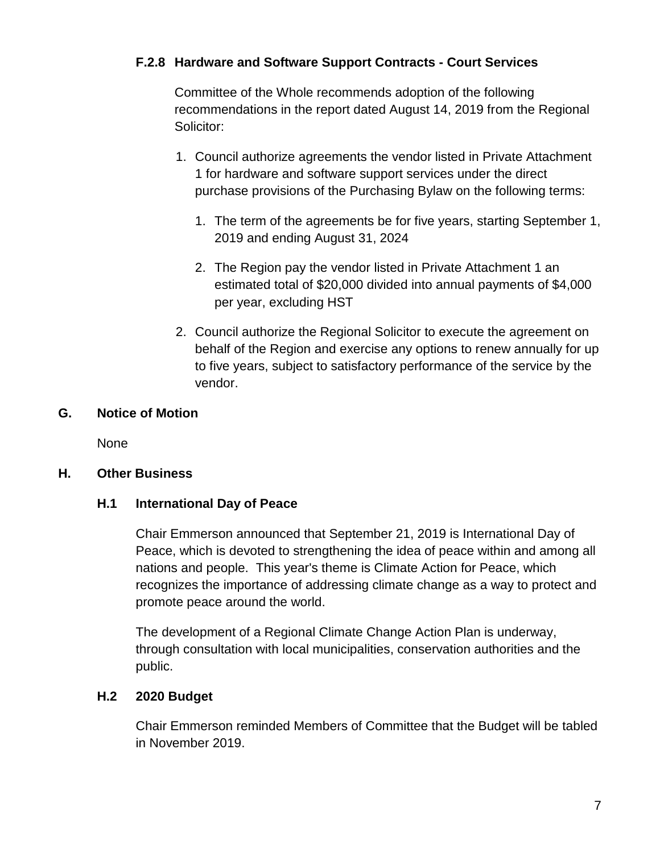## **F.2.8 Hardware and Software Support Contracts - Court Services**

Committee of the Whole recommends adoption of the following recommendations in the report dated August 14, 2019 from the Regional Solicitor:

- 1. Council authorize agreements the vendor listed in Private Attachment 1 for hardware and software support services under the direct purchase provisions of the Purchasing Bylaw on the following terms:
	- 1. The term of the agreements be for five years, starting September 1, 2019 and ending August 31, 2024
	- 2. The Region pay the vendor listed in Private Attachment 1 an estimated total of \$20,000 divided into annual payments of \$4,000 per year, excluding HST
- 2. Council authorize the Regional Solicitor to execute the agreement on behalf of the Region and exercise any options to renew annually for up to five years, subject to satisfactory performance of the service by the vendor.

### **G. Notice of Motion**

None

### **H. Other Business**

### **H.1 International Day of Peace**

Chair Emmerson announced that September 21, 2019 is International Day of Peace, which is devoted to strengthening the idea of peace within and among all nations and people. This year's theme is Climate Action for Peace, which recognizes the importance of addressing climate change as a way to protect and promote peace around the world.

The development of a Regional Climate Change Action Plan is underway, through consultation with local municipalities, conservation authorities and the public.

### **H.2 2020 Budget**

Chair Emmerson reminded Members of Committee that the Budget will be tabled in November 2019.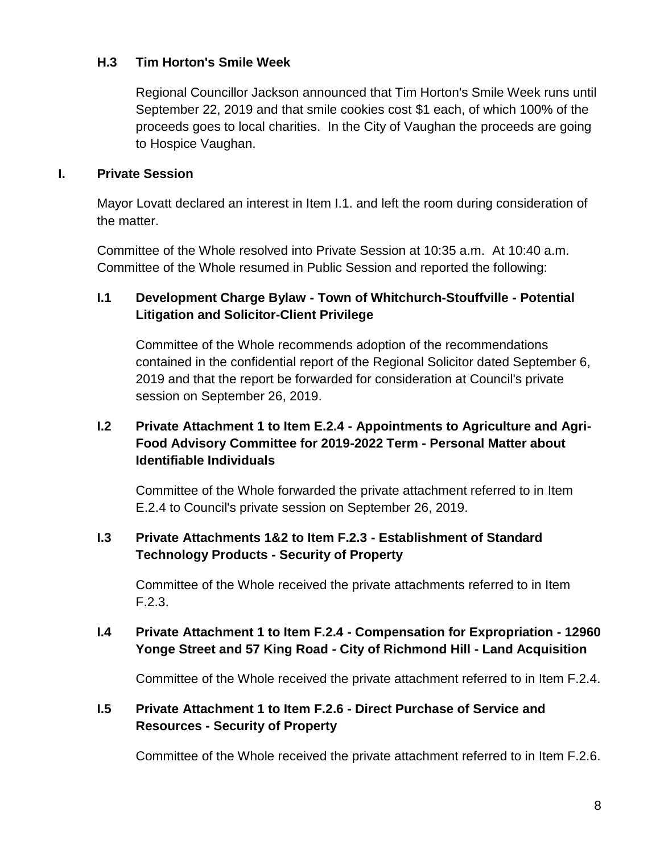### **H.3 Tim Horton's Smile Week**

Regional Councillor Jackson announced that Tim Horton's Smile Week runs until September 22, 2019 and that smile cookies cost \$1 each, of which 100% of the proceeds goes to local charities. In the City of Vaughan the proceeds are going to Hospice Vaughan.

#### **I. Private Session**

Mayor Lovatt declared an interest in Item I.1. and left the room during consideration of the matter.

Committee of the Whole resolved into Private Session at 10:35 a.m. At 10:40 a.m. Committee of the Whole resumed in Public Session and reported the following:

## **I.1 Development Charge Bylaw - Town of Whitchurch-Stouffville - Potential Litigation and Solicitor-Client Privilege**

Committee of the Whole recommends adoption of the recommendations contained in the confidential report of the Regional Solicitor dated September 6, 2019 and that the report be forwarded for consideration at Council's private session on September 26, 2019.

# **I.2 Private Attachment 1 to Item E.2.4 - Appointments to Agriculture and Agri-Food Advisory Committee for 2019-2022 Term - Personal Matter about Identifiable Individuals**

Committee of the Whole forwarded the private attachment referred to in Item E.2.4 to Council's private session on September 26, 2019.

### **I.3 Private Attachments 1&2 to Item F.2.3 - Establishment of Standard Technology Products - Security of Property**

Committee of the Whole received the private attachments referred to in Item F.2.3.

## **I.4 Private Attachment 1 to Item F.2.4 - Compensation for Expropriation - 12960 Yonge Street and 57 King Road - City of Richmond Hill - Land Acquisition**

Committee of the Whole received the private attachment referred to in Item F.2.4.

## **I.5 Private Attachment 1 to Item F.2.6 - Direct Purchase of Service and Resources - Security of Property**

Committee of the Whole received the private attachment referred to in Item F.2.6.